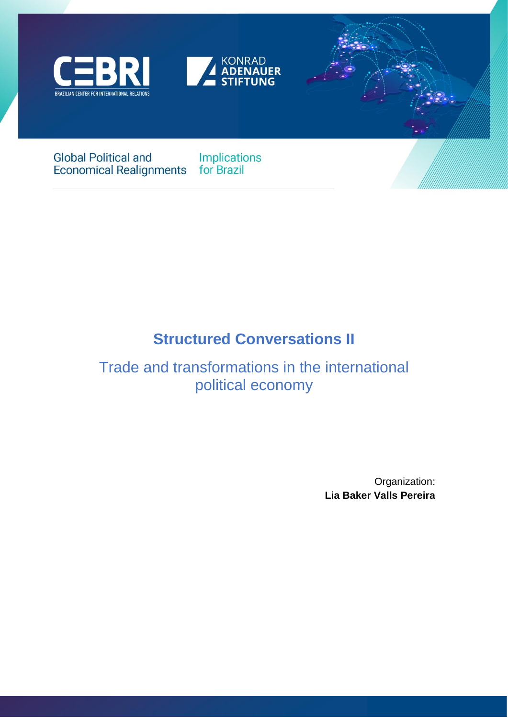





# **Global Political and** Economical Realignments for Brazil

Implications

# **Structured Conversations II**

# Trade and transformations in the international political economy

Organization: **Lia Baker Valls Pereira**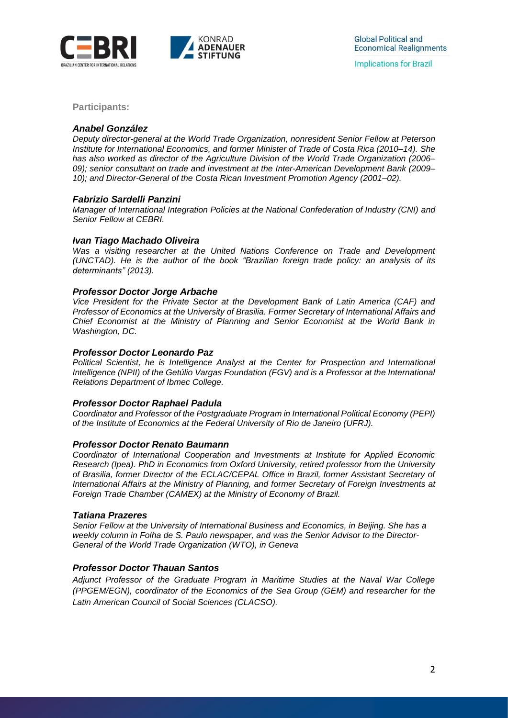

**Participants:**

### *Anabel González*

*Deputy director-general at the World Trade Organization, nonresident Senior Fellow at Peterson Institute for International Economics, and former Minister of Trade of Costa Rica (2010–14). She has also worked as director of the Agriculture Division of the World Trade Organization (2006– 09); senior consultant on trade and investment at the Inter-American Development Bank (2009– 10); and Director-General of the Costa Rican Investment Promotion Agency (2001–02).*

### *Fabrizio Sardelli Panzini*

*Manager of International Integration Policies at the National Confederation of Industry (CNI) and Senior Fellow at CEBRI.*

### *Ivan Tiago Machado Oliveira*

*Was a visiting researcher at the United Nations Conference on Trade and Development (UNCTAD). He is the author of the book "Brazilian foreign trade policy: an analysis of its determinants" (2013).*

#### *Professor Doctor Jorge Arbache*

*Vice President for the Private Sector at the Development Bank of Latin America (CAF) and Professor of Economics at the University of Brasilia. Former Secretary of International Affairs and Chief Economist at the Ministry of Planning and Senior Economist at the World Bank in Washington, DC.*

### *Professor Doctor Leonardo Paz*

*Political Scientist, he is Intelligence Analyst at the Center for Prospection and International Intelligence (NPII) of the Getúlio Vargas Foundation (FGV) and is a Professor at the International Relations Department of Ibmec College.*

### *Professor Doctor Raphael Padula*

*Coordinator and Professor of the Postgraduate Program in International Political Economy (PEPI) of the Institute of Economics at the Federal University of Rio de Janeiro (UFRJ).*

### *Professor Doctor Renato Baumann*

*Coordinator of International Cooperation and Investments at Institute for Applied Economic Research (Ipea). PhD in Economics from Oxford University, retired professor from the University of Brasilia, former Director of the ECLAC/CEPAL Office in Brazil, former Assistant Secretary of International Affairs at the Ministry of Planning, and former Secretary of Foreign Investments at Foreign Trade Chamber (CAMEX) at the Ministry of Economy of Brazil.*

### *Tatiana Prazeres*

*Senior Fellow at the University of International Business and Economics, in Beijing. She has a weekly column in Folha de S. Paulo newspaper, and was the Senior Advisor to the Director-General of the World Trade Organization (WTO), in Geneva*

### *Professor Doctor Thauan Santos*

*Adjunct Professor of the Graduate Program in Maritime Studies at the Naval War College (PPGEM/EGN), coordinator of the Economics of the Sea Group (GEM) and researcher for the Latin American Council of Social Sciences (CLACSO).*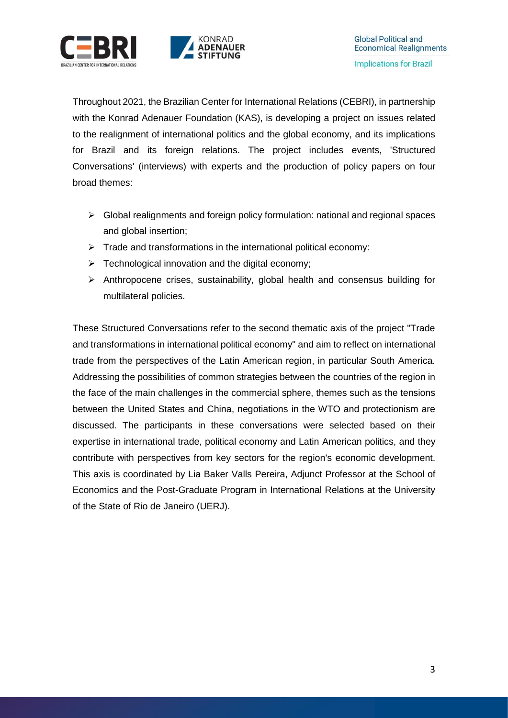



Throughout 2021, the Brazilian Center for International Relations (CEBRI), in partnership with the Konrad Adenauer Foundation (KAS), is developing a project on issues related to the realignment of international politics and the global economy, and its implications for Brazil and its foreign relations. The project includes events, 'Structured Conversations' (interviews) with experts and the production of policy papers on four broad themes:

- $\triangleright$  Global realignments and foreign policy formulation: national and regional spaces and global insertion;
- $\triangleright$  Trade and transformations in the international political economy:
- $\triangleright$  Technological innovation and the digital economy;
- $\triangleright$  Anthropocene crises, sustainability, global health and consensus building for multilateral policies.

These Structured Conversations refer to the second thematic axis of the project "Trade and transformations in international political economy" and aim to reflect on international trade from the perspectives of the Latin American region, in particular South America. Addressing the possibilities of common strategies between the countries of the region in the face of the main challenges in the commercial sphere, themes such as the tensions between the United States and China, negotiations in the WTO and protectionism are discussed. The participants in these conversations were selected based on their expertise in international trade, political economy and Latin American politics, and they contribute with perspectives from key sectors for the region's economic development. This axis is coordinated by Lia Baker Valls Pereira, Adjunct Professor at the School of Economics and the Post-Graduate Program in International Relations at the University of the State of Rio de Janeiro (UERJ).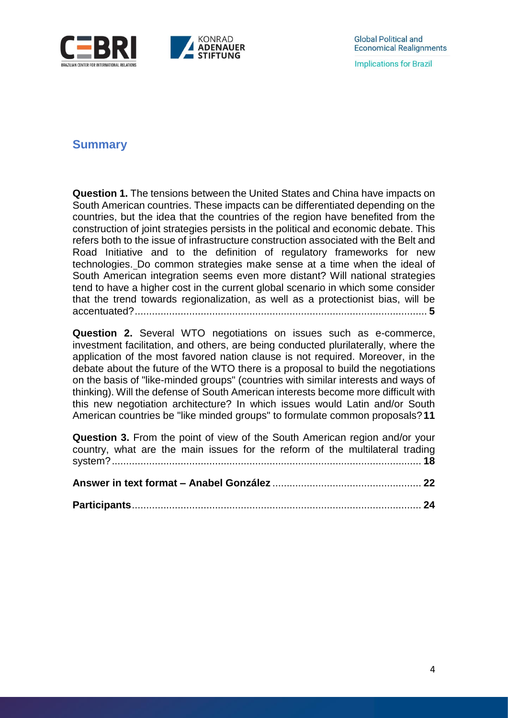

# **Summary**

**Question 1.** [The tensions between the United States and China have impacts on](file:///C:/Users/larissa.vejarano/Downloads/Structured%20Conversations_KAS%20axis%202%20Lia%20Valls.docx%23_Toc85730178)  [South American countries. These impacts can be differentiated depending on the](file:///C:/Users/larissa.vejarano/Downloads/Structured%20Conversations_KAS%20axis%202%20Lia%20Valls.docx%23_Toc85730178)  [countries, but the idea that the countries of the region have benefited from the](file:///C:/Users/larissa.vejarano/Downloads/Structured%20Conversations_KAS%20axis%202%20Lia%20Valls.docx%23_Toc85730178)  [construction of joint strategies persists in the political and economic debate. This](file:///C:/Users/larissa.vejarano/Downloads/Structured%20Conversations_KAS%20axis%202%20Lia%20Valls.docx%23_Toc85730178)  [refers both to the issue of infrastructure construction associated with the Belt and](file:///C:/Users/larissa.vejarano/Downloads/Structured%20Conversations_KAS%20axis%202%20Lia%20Valls.docx%23_Toc85730178)  [Road Initiative and to the definition of regulatory frameworks for new](file:///C:/Users/larissa.vejarano/Downloads/Structured%20Conversations_KAS%20axis%202%20Lia%20Valls.docx%23_Toc85730178)  [technologies.](file:///C:/Users/larissa.vejarano/Downloads/Structured%20Conversations_KAS%20axis%202%20Lia%20Valls.docx%23_Toc85730178) [Do common strategies make sense at a time when the ideal of](file:///C:/Users/larissa.vejarano/Downloads/Structured%20Conversations_KAS%20axis%202%20Lia%20Valls.docx%23_Toc85730179)  [South American integration seems even more distant? Will national strategies](file:///C:/Users/larissa.vejarano/Downloads/Structured%20Conversations_KAS%20axis%202%20Lia%20Valls.docx%23_Toc85730179)  [tend to have a higher cost in the current global scenario in which some consider](file:///C:/Users/larissa.vejarano/Downloads/Structured%20Conversations_KAS%20axis%202%20Lia%20Valls.docx%23_Toc85730179)  [that the trend towards regionalization, as well as a protectionist bias, will be](file:///C:/Users/larissa.vejarano/Downloads/Structured%20Conversations_KAS%20axis%202%20Lia%20Valls.docx%23_Toc85730179)  [accentuated?......................................................................................................](file:///C:/Users/larissa.vejarano/Downloads/Structured%20Conversations_KAS%20axis%202%20Lia%20Valls.docx%23_Toc85730179) **5**

**Question 2.** [Several WTO negotiations on issues such as e-commerce,](file:///C:/Users/larissa.vejarano/Downloads/Structured%20Conversations_KAS%20axis%202%20Lia%20Valls.docx%23_Toc85730180)  [investment facilitation, and others, are being conducted plurilaterally, where the](file:///C:/Users/larissa.vejarano/Downloads/Structured%20Conversations_KAS%20axis%202%20Lia%20Valls.docx%23_Toc85730180)  [application of the most favored nation clause is not required. Moreover, in the](file:///C:/Users/larissa.vejarano/Downloads/Structured%20Conversations_KAS%20axis%202%20Lia%20Valls.docx%23_Toc85730180)  [debate about the future of the WTO there is a proposal to build the negotiations](file:///C:/Users/larissa.vejarano/Downloads/Structured%20Conversations_KAS%20axis%202%20Lia%20Valls.docx%23_Toc85730180)  [on the basis of "like-minded groups" \(countries with similar interests and ways of](file:///C:/Users/larissa.vejarano/Downloads/Structured%20Conversations_KAS%20axis%202%20Lia%20Valls.docx%23_Toc85730180)  [thinking\).](file:///C:/Users/larissa.vejarano/Downloads/Structured%20Conversations_KAS%20axis%202%20Lia%20Valls.docx%23_Toc85730180) [Will the defense of South American interests become more difficult with](file:///C:/Users/larissa.vejarano/Downloads/Structured%20Conversations_KAS%20axis%202%20Lia%20Valls.docx%23_Toc85730181)  [this new negotiation architecture? In which issues would Latin and/or South](file:///C:/Users/larissa.vejarano/Downloads/Structured%20Conversations_KAS%20axis%202%20Lia%20Valls.docx%23_Toc85730181)  [American countries be "like minded groups" to formulate common proposals?](file:///C:/Users/larissa.vejarano/Downloads/Structured%20Conversations_KAS%20axis%202%20Lia%20Valls.docx%23_Toc85730181)**11**

**Question 3.** [From the point of view of the South American region and/or your](file:///C:/Users/larissa.vejarano/Downloads/Structured%20Conversations_KAS%20axis%202%20Lia%20Valls.docx%23_Toc85730182)  [country, what are the main issues for the reform of the multilateral trading](file:///C:/Users/larissa.vejarano/Downloads/Structured%20Conversations_KAS%20axis%202%20Lia%20Valls.docx%23_Toc85730182)  [system?............................................................................................................](file:///C:/Users/larissa.vejarano/Downloads/Structured%20Conversations_KAS%20axis%202%20Lia%20Valls.docx%23_Toc85730182) **18**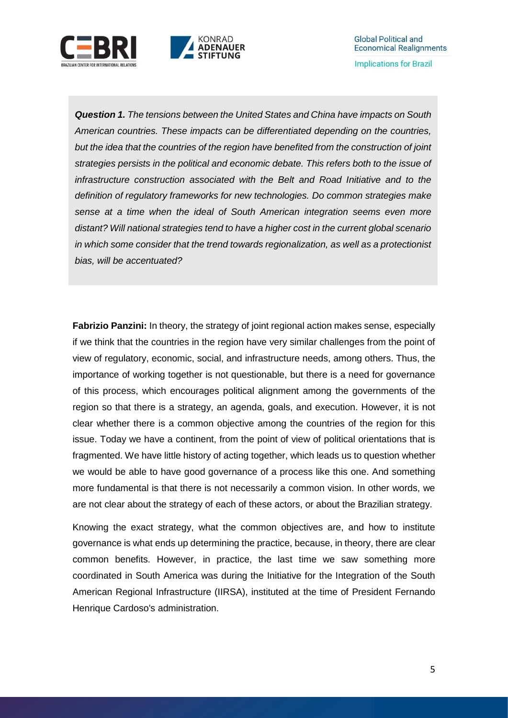



*Question 1. The tensions between the United States and China have impacts on South American countries. These impacts can be differentiated depending on the countries, but the idea that the countries of the region have benefited from the construction of joint strategies persists in the political and economic debate. This refers both to the issue of infrastructure construction associated with the Belt and Road Initiative and to the definition of regulatory frameworks for new technologies. Do common strategies make sense at a time when the ideal of South American integration seems even more distant? Will national strategies tend to have a higher cost in the current global scenario in which some consider that the trend towards regionalization, as well as a protectionist bias, will be accentuated?*

KONRAD **ADENAUER** 

**Fabrizio Panzini:** In theory, the strategy of joint regional action makes sense, especially if we think that the countries in the region have very similar challenges from the point of view of regulatory, economic, social, and infrastructure needs, among others. Thus, the importance of working together is not questionable, but there is a need for governance of this process, which encourages political alignment among the governments of the region so that there is a strategy, an agenda, goals, and execution. However, it is not clear whether there is a common objective among the countries of the region for this issue. Today we have a continent, from the point of view of political orientations that is fragmented. We have little history of acting together, which leads us to question whether we would be able to have good governance of a process like this one. And something more fundamental is that there is not necessarily a common vision. In other words, we are not clear about the strategy of each of these actors, or about the Brazilian strategy.

Knowing the exact strategy, what the common objectives are, and how to institute governance is what ends up determining the practice, because, in theory, there are clear common benefits. However, in practice, the last time we saw something more coordinated in South America was during the Initiative for the Integration of the South American Regional Infrastructure (IIRSA), instituted at the time of President Fernando Henrique Cardoso's administration.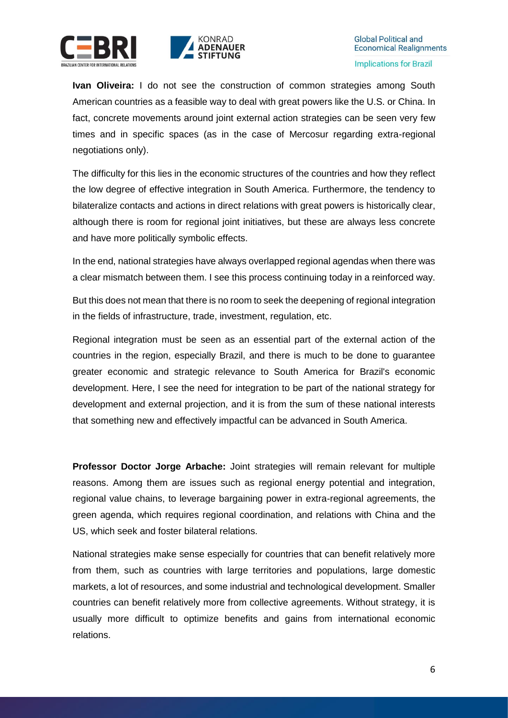



**Ivan Oliveira:** I do not see the construction of common strategies among South American countries as a feasible way to deal with great powers like the U.S. or China. In fact, concrete movements around joint external action strategies can be seen very few times and in specific spaces (as in the case of Mercosur regarding extra-regional negotiations only).

The difficulty for this lies in the economic structures of the countries and how they reflect the low degree of effective integration in South America. Furthermore, the tendency to bilateralize contacts and actions in direct relations with great powers is historically clear, although there is room for regional joint initiatives, but these are always less concrete and have more politically symbolic effects.

In the end, national strategies have always overlapped regional agendas when there was a clear mismatch between them. I see this process continuing today in a reinforced way.

But this does not mean that there is no room to seek the deepening of regional integration in the fields of infrastructure, trade, investment, regulation, etc.

Regional integration must be seen as an essential part of the external action of the countries in the region, especially Brazil, and there is much to be done to guarantee greater economic and strategic relevance to South America for Brazil's economic development. Here, I see the need for integration to be part of the national strategy for development and external projection, and it is from the sum of these national interests that something new and effectively impactful can be advanced in South America.

**Professor Doctor Jorge Arbache:** Joint strategies will remain relevant for multiple reasons. Among them are issues such as regional energy potential and integration, regional value chains, to leverage bargaining power in extra-regional agreements, the green agenda, which requires regional coordination, and relations with China and the US, which seek and foster bilateral relations.

National strategies make sense especially for countries that can benefit relatively more from them, such as countries with large territories and populations, large domestic markets, a lot of resources, and some industrial and technological development. Smaller countries can benefit relatively more from collective agreements. Without strategy, it is usually more difficult to optimize benefits and gains from international economic relations.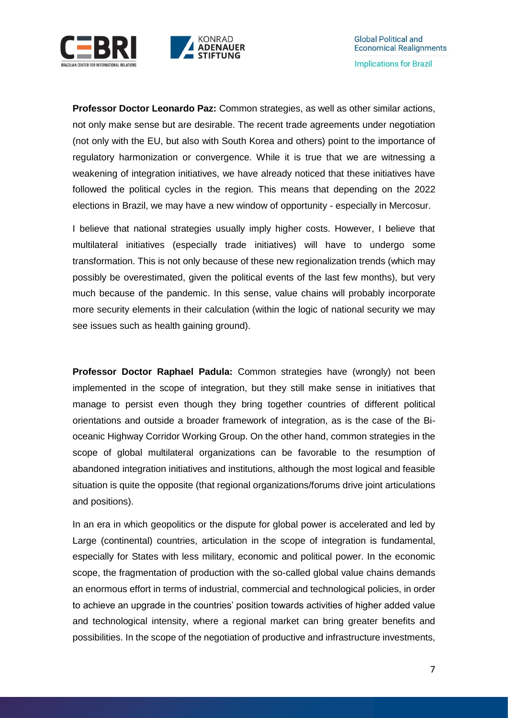



**Professor Doctor Leonardo Paz:** Common strategies, as well as other similar actions, not only make sense but are desirable. The recent trade agreements under negotiation (not only with the EU, but also with South Korea and others) point to the importance of regulatory harmonization or convergence. While it is true that we are witnessing a weakening of integration initiatives, we have already noticed that these initiatives have followed the political cycles in the region. This means that depending on the 2022 elections in Brazil, we may have a new window of opportunity - especially in Mercosur.

I believe that national strategies usually imply higher costs. However, I believe that multilateral initiatives (especially trade initiatives) will have to undergo some transformation. This is not only because of these new regionalization trends (which may possibly be overestimated, given the political events of the last few months), but very much because of the pandemic. In this sense, value chains will probably incorporate more security elements in their calculation (within the logic of national security we may see issues such as health gaining ground).

**Professor Doctor Raphael Padula:** Common strategies have (wrongly) not been implemented in the scope of integration, but they still make sense in initiatives that manage to persist even though they bring together countries of different political orientations and outside a broader framework of integration, as is the case of the Bioceanic Highway Corridor Working Group. On the other hand, common strategies in the scope of global multilateral organizations can be favorable to the resumption of abandoned integration initiatives and institutions, although the most logical and feasible situation is quite the opposite (that regional organizations/forums drive joint articulations and positions).

In an era in which geopolitics or the dispute for global power is accelerated and led by Large (continental) countries, articulation in the scope of integration is fundamental, especially for States with less military, economic and political power. In the economic scope, the fragmentation of production with the so-called global value chains demands an enormous effort in terms of industrial, commercial and technological policies, in order to achieve an upgrade in the countries' position towards activities of higher added value and technological intensity, where a regional market can bring greater benefits and possibilities. In the scope of the negotiation of productive and infrastructure investments,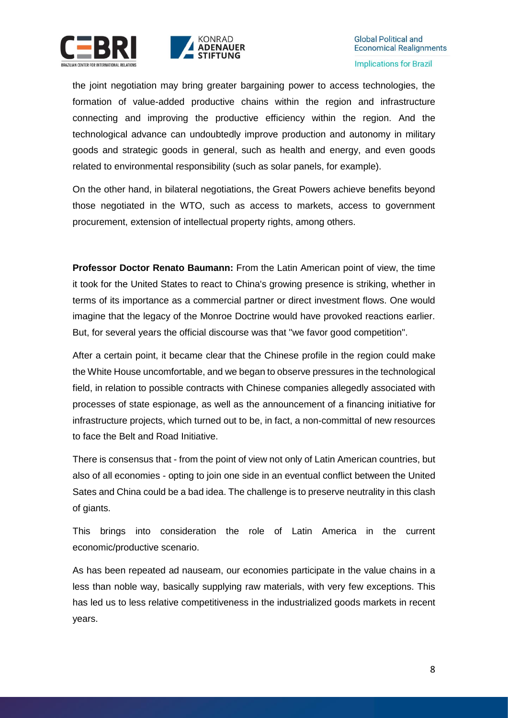



the joint negotiation may bring greater bargaining power to access technologies, the formation of value-added productive chains within the region and infrastructure connecting and improving the productive efficiency within the region. And the technological advance can undoubtedly improve production and autonomy in military goods and strategic goods in general, such as health and energy, and even goods related to environmental responsibility (such as solar panels, for example).

On the other hand, in bilateral negotiations, the Great Powers achieve benefits beyond those negotiated in the WTO, such as access to markets, access to government procurement, extension of intellectual property rights, among others.

**Professor Doctor Renato Baumann:** From the Latin American point of view, the time it took for the United States to react to China's growing presence is striking, whether in terms of its importance as a commercial partner or direct investment flows. One would imagine that the legacy of the Monroe Doctrine would have provoked reactions earlier. But, for several years the official discourse was that "we favor good competition".

After a certain point, it became clear that the Chinese profile in the region could make the White House uncomfortable, and we began to observe pressures in the technological field, in relation to possible contracts with Chinese companies allegedly associated with processes of state espionage, as well as the announcement of a financing initiative for infrastructure projects, which turned out to be, in fact, a non-committal of new resources to face the Belt and Road Initiative.

There is consensus that - from the point of view not only of Latin American countries, but also of all economies - opting to join one side in an eventual conflict between the United Sates and China could be a bad idea. The challenge is to preserve neutrality in this clash of giants.

This brings into consideration the role of Latin America in the current economic/productive scenario.

As has been repeated ad nauseam, our economies participate in the value chains in a less than noble way, basically supplying raw materials, with very few exceptions. This has led us to less relative competitiveness in the industrialized goods markets in recent years.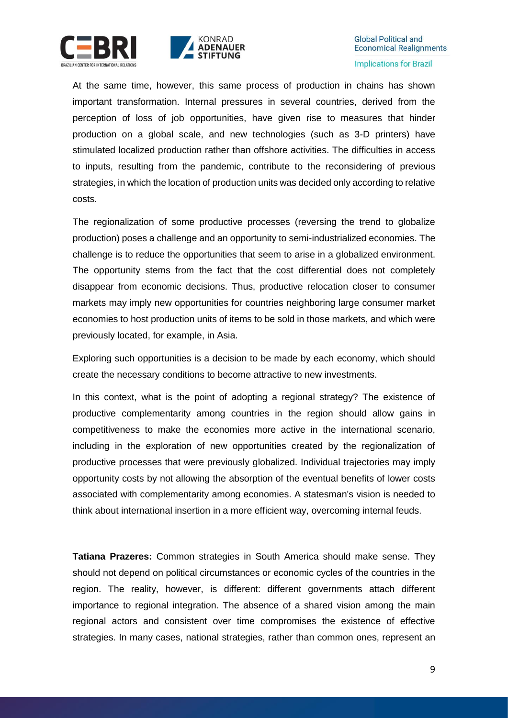



At the same time, however, this same process of production in chains has shown important transformation. Internal pressures in several countries, derived from the perception of loss of job opportunities, have given rise to measures that hinder production on a global scale, and new technologies (such as 3-D printers) have stimulated localized production rather than offshore activities. The difficulties in access to inputs, resulting from the pandemic, contribute to the reconsidering of previous strategies, in which the location of production units was decided only according to relative costs.

The regionalization of some productive processes (reversing the trend to globalize production) poses a challenge and an opportunity to semi-industrialized economies. The challenge is to reduce the opportunities that seem to arise in a globalized environment. The opportunity stems from the fact that the cost differential does not completely disappear from economic decisions. Thus, productive relocation closer to consumer markets may imply new opportunities for countries neighboring large consumer market economies to host production units of items to be sold in those markets, and which were previously located, for example, in Asia.

Exploring such opportunities is a decision to be made by each economy, which should create the necessary conditions to become attractive to new investments.

In this context, what is the point of adopting a regional strategy? The existence of productive complementarity among countries in the region should allow gains in competitiveness to make the economies more active in the international scenario, including in the exploration of new opportunities created by the regionalization of productive processes that were previously globalized. Individual trajectories may imply opportunity costs by not allowing the absorption of the eventual benefits of lower costs associated with complementarity among economies. A statesman's vision is needed to think about international insertion in a more efficient way, overcoming internal feuds.

**Tatiana Prazeres:** Common strategies in South America should make sense. They should not depend on political circumstances or economic cycles of the countries in the region. The reality, however, is different: different governments attach different importance to regional integration. The absence of a shared vision among the main regional actors and consistent over time compromises the existence of effective strategies. In many cases, national strategies, rather than common ones, represent an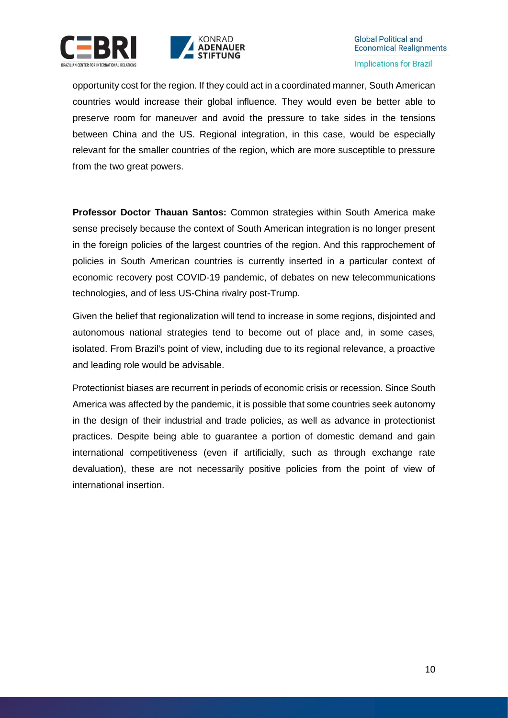



opportunity cost for the region. If they could act in a coordinated manner, South American countries would increase their global influence. They would even be better able to preserve room for maneuver and avoid the pressure to take sides in the tensions between China and the US. Regional integration, in this case, would be especially relevant for the smaller countries of the region, which are more susceptible to pressure from the two great powers.

**Professor Doctor Thauan Santos:** Common strategies within South America make sense precisely because the context of South American integration is no longer present in the foreign policies of the largest countries of the region. And this rapprochement of policies in South American countries is currently inserted in a particular context of economic recovery post COVID-19 pandemic, of debates on new telecommunications technologies, and of less US-China rivalry post-Trump.

Given the belief that regionalization will tend to increase in some regions, disjointed and autonomous national strategies tend to become out of place and, in some cases, isolated. From Brazil's point of view, including due to its regional relevance, a proactive and leading role would be advisable.

Protectionist biases are recurrent in periods of economic crisis or recession. Since South America was affected by the pandemic, it is possible that some countries seek autonomy in the design of their industrial and trade policies, as well as advance in protectionist practices. Despite being able to guarantee a portion of domestic demand and gain international competitiveness (even if artificially, such as through exchange rate devaluation), these are not necessarily positive policies from the point of view of international insertion.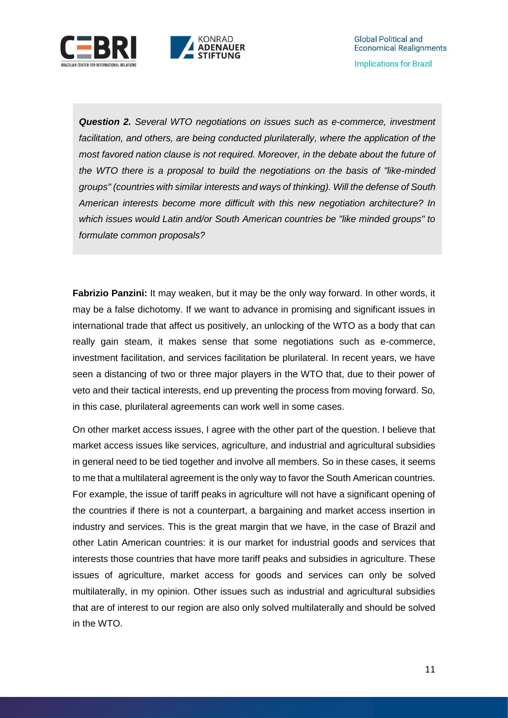

*Question 2. Several WTO negotiations on issues such as e-commerce, investment*  facilitation, and others, are being conducted plurilaterally, where the application of the *most favored nation clause is not required. Moreover, in the debate about the future of the WTO there is a proposal to build the negotiations on the basis of "like-minded groups" (countries with similar interests and ways of thinking). Will the defense of South American interests become more difficult with this new negotiation architecture? In which issues would Latin and/or South American countries be "like minded groups" to formulate common proposals?*

**Fabrizio Panzini:** It may weaken, but it may be the only way forward. In other words, it may be a false dichotomy. If we want to advance in promising and significant issues in international trade that affect us positively, an unlocking of the WTO as a body that can really gain steam, it makes sense that some negotiations such as e-commerce, investment facilitation, and services facilitation be plurilateral. In recent years, we have seen a distancing of two or three major players in the WTO that, due to their power of veto and their tactical interests, end up preventing the process from moving forward. So, in this case, plurilateral agreements can work well in some cases.

On other market access issues, I agree with the other part of the question. I believe that market access issues like services, agriculture, and industrial and agricultural subsidies in general need to be tied together and involve all members. So in these cases, it seems to me that a multilateral agreement is the only way to favor the South American countries. For example, the issue of tariff peaks in agriculture will not have a significant opening of the countries if there is not a counterpart, a bargaining and market access insertion in industry and services. This is the great margin that we have, in the case of Brazil and other Latin American countries: it is our market for industrial goods and services that interests those countries that have more tariff peaks and subsidies in agriculture. These issues of agriculture, market access for goods and services can only be solved multilaterally, in my opinion. Other issues such as industrial and agricultural subsidies that are of interest to our region are also only solved multilaterally and should be solved in the WTO.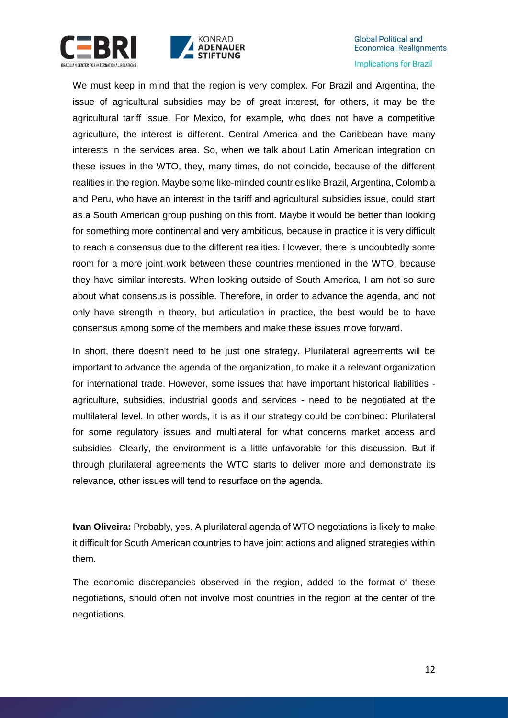



We must keep in mind that the region is very complex. For Brazil and Argentina, the issue of agricultural subsidies may be of great interest, for others, it may be the agricultural tariff issue. For Mexico, for example, who does not have a competitive agriculture, the interest is different. Central America and the Caribbean have many interests in the services area. So, when we talk about Latin American integration on these issues in the WTO, they, many times, do not coincide, because of the different realities in the region. Maybe some like-minded countries like Brazil, Argentina, Colombia and Peru, who have an interest in the tariff and agricultural subsidies issue, could start as a South American group pushing on this front. Maybe it would be better than looking for something more continental and very ambitious, because in practice it is very difficult to reach a consensus due to the different realities. However, there is undoubtedly some room for a more joint work between these countries mentioned in the WTO, because they have similar interests. When looking outside of South America, I am not so sure about what consensus is possible. Therefore, in order to advance the agenda, and not only have strength in theory, but articulation in practice, the best would be to have consensus among some of the members and make these issues move forward.

In short, there doesn't need to be just one strategy. Plurilateral agreements will be important to advance the agenda of the organization, to make it a relevant organization for international trade. However, some issues that have important historical liabilities agriculture, subsidies, industrial goods and services - need to be negotiated at the multilateral level. In other words, it is as if our strategy could be combined: Plurilateral for some regulatory issues and multilateral for what concerns market access and subsidies. Clearly, the environment is a little unfavorable for this discussion. But if through plurilateral agreements the WTO starts to deliver more and demonstrate its relevance, other issues will tend to resurface on the agenda.

**Ivan Oliveira:** Probably, yes. A plurilateral agenda of WTO negotiations is likely to make it difficult for South American countries to have joint actions and aligned strategies within them.

The economic discrepancies observed in the region, added to the format of these negotiations, should often not involve most countries in the region at the center of the negotiations.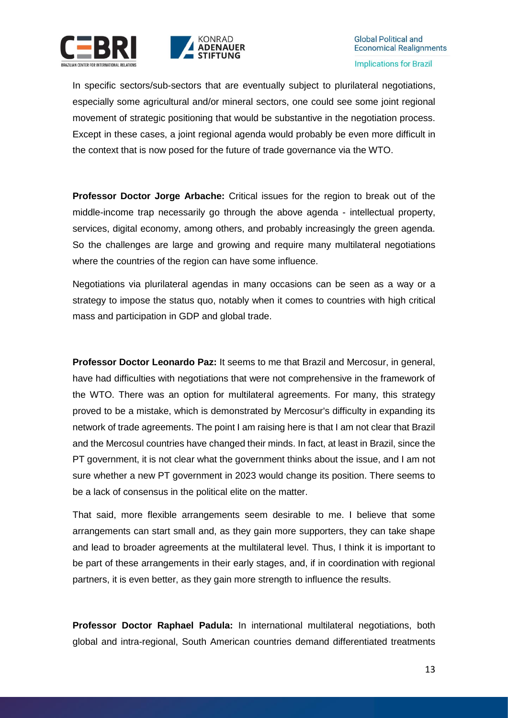



In specific sectors/sub-sectors that are eventually subject to plurilateral negotiations, especially some agricultural and/or mineral sectors, one could see some joint regional movement of strategic positioning that would be substantive in the negotiation process. Except in these cases, a joint regional agenda would probably be even more difficult in the context that is now posed for the future of trade governance via the WTO.

**Professor Doctor Jorge Arbache:** Critical issues for the region to break out of the middle-income trap necessarily go through the above agenda - intellectual property, services, digital economy, among others, and probably increasingly the green agenda. So the challenges are large and growing and require many multilateral negotiations where the countries of the region can have some influence.

Negotiations via plurilateral agendas in many occasions can be seen as a way or a strategy to impose the status quo, notably when it comes to countries with high critical mass and participation in GDP and global trade.

**Professor Doctor Leonardo Paz:** It seems to me that Brazil and Mercosur, in general, have had difficulties with negotiations that were not comprehensive in the framework of the WTO. There was an option for multilateral agreements. For many, this strategy proved to be a mistake, which is demonstrated by Mercosur's difficulty in expanding its network of trade agreements. The point I am raising here is that I am not clear that Brazil and the Mercosul countries have changed their minds. In fact, at least in Brazil, since the PT government, it is not clear what the government thinks about the issue, and I am not sure whether a new PT government in 2023 would change its position. There seems to be a lack of consensus in the political elite on the matter.

That said, more flexible arrangements seem desirable to me. I believe that some arrangements can start small and, as they gain more supporters, they can take shape and lead to broader agreements at the multilateral level. Thus, I think it is important to be part of these arrangements in their early stages, and, if in coordination with regional partners, it is even better, as they gain more strength to influence the results.

**Professor Doctor Raphael Padula:** In international multilateral negotiations, both global and intra-regional, South American countries demand differentiated treatments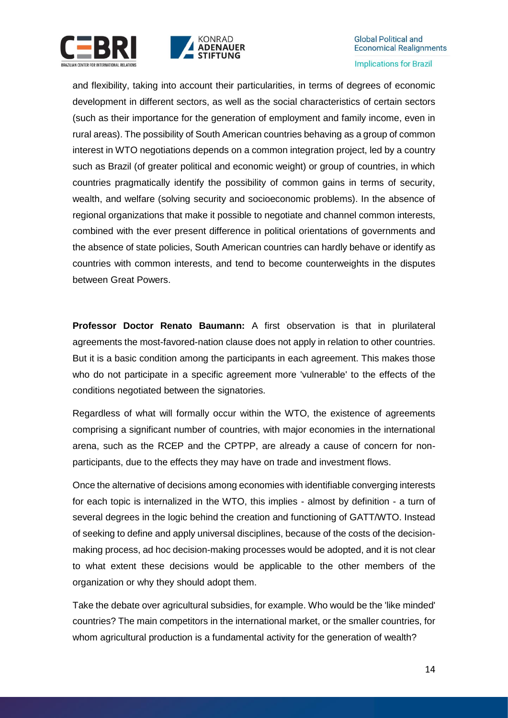



and flexibility, taking into account their particularities, in terms of degrees of economic development in different sectors, as well as the social characteristics of certain sectors (such as their importance for the generation of employment and family income, even in rural areas). The possibility of South American countries behaving as a group of common interest in WTO negotiations depends on a common integration project, led by a country such as Brazil (of greater political and economic weight) or group of countries, in which countries pragmatically identify the possibility of common gains in terms of security, wealth, and welfare (solving security and socioeconomic problems). In the absence of regional organizations that make it possible to negotiate and channel common interests, combined with the ever present difference in political orientations of governments and the absence of state policies, South American countries can hardly behave or identify as countries with common interests, and tend to become counterweights in the disputes between Great Powers.

**Professor Doctor Renato Baumann:** A first observation is that in plurilateral agreements the most-favored-nation clause does not apply in relation to other countries. But it is a basic condition among the participants in each agreement. This makes those who do not participate in a specific agreement more 'vulnerable' to the effects of the conditions negotiated between the signatories.

Regardless of what will formally occur within the WTO, the existence of agreements comprising a significant number of countries, with major economies in the international arena, such as the RCEP and the CPTPP, are already a cause of concern for nonparticipants, due to the effects they may have on trade and investment flows.

Once the alternative of decisions among economies with identifiable converging interests for each topic is internalized in the WTO, this implies - almost by definition - a turn of several degrees in the logic behind the creation and functioning of GATT/WTO. Instead of seeking to define and apply universal disciplines, because of the costs of the decisionmaking process, ad hoc decision-making processes would be adopted, and it is not clear to what extent these decisions would be applicable to the other members of the organization or why they should adopt them.

Take the debate over agricultural subsidies, for example. Who would be the 'like minded' countries? The main competitors in the international market, or the smaller countries, for whom agricultural production is a fundamental activity for the generation of wealth?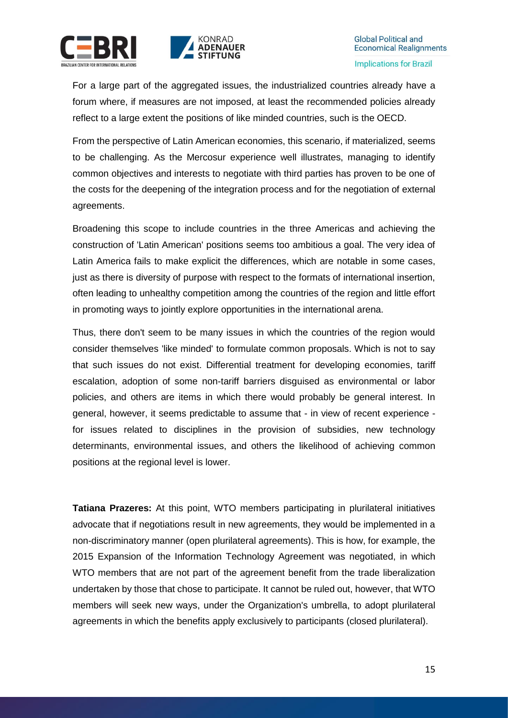



For a large part of the aggregated issues, the industrialized countries already have a forum where, if measures are not imposed, at least the recommended policies already reflect to a large extent the positions of like minded countries, such is the OECD.

From the perspective of Latin American economies, this scenario, if materialized, seems to be challenging. As the Mercosur experience well illustrates, managing to identify common objectives and interests to negotiate with third parties has proven to be one of the costs for the deepening of the integration process and for the negotiation of external agreements.

Broadening this scope to include countries in the three Americas and achieving the construction of 'Latin American' positions seems too ambitious a goal. The very idea of Latin America fails to make explicit the differences, which are notable in some cases, just as there is diversity of purpose with respect to the formats of international insertion, often leading to unhealthy competition among the countries of the region and little effort in promoting ways to jointly explore opportunities in the international arena.

Thus, there don't seem to be many issues in which the countries of the region would consider themselves 'like minded' to formulate common proposals. Which is not to say that such issues do not exist. Differential treatment for developing economies, tariff escalation, adoption of some non-tariff barriers disguised as environmental or labor policies, and others are items in which there would probably be general interest. In general, however, it seems predictable to assume that - in view of recent experience for issues related to disciplines in the provision of subsidies, new technology determinants, environmental issues, and others the likelihood of achieving common positions at the regional level is lower.

**Tatiana Prazeres:** At this point, WTO members participating in plurilateral initiatives advocate that if negotiations result in new agreements, they would be implemented in a non-discriminatory manner (open plurilateral agreements). This is how, for example, the 2015 Expansion of the Information Technology Agreement was negotiated, in which WTO members that are not part of the agreement benefit from the trade liberalization undertaken by those that chose to participate. It cannot be ruled out, however, that WTO members will seek new ways, under the Organization's umbrella, to adopt plurilateral agreements in which the benefits apply exclusively to participants (closed plurilateral).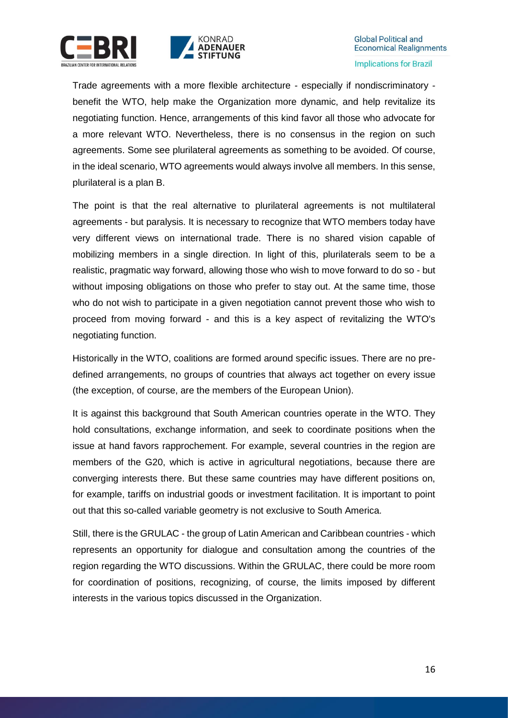



Trade agreements with a more flexible architecture - especially if nondiscriminatory benefit the WTO, help make the Organization more dynamic, and help revitalize its negotiating function. Hence, arrangements of this kind favor all those who advocate for a more relevant WTO. Nevertheless, there is no consensus in the region on such agreements. Some see plurilateral agreements as something to be avoided. Of course, in the ideal scenario, WTO agreements would always involve all members. In this sense, plurilateral is a plan B.

The point is that the real alternative to plurilateral agreements is not multilateral agreements - but paralysis. It is necessary to recognize that WTO members today have very different views on international trade. There is no shared vision capable of mobilizing members in a single direction. In light of this, plurilaterals seem to be a realistic, pragmatic way forward, allowing those who wish to move forward to do so - but without imposing obligations on those who prefer to stay out. At the same time, those who do not wish to participate in a given negotiation cannot prevent those who wish to proceed from moving forward - and this is a key aspect of revitalizing the WTO's negotiating function.

Historically in the WTO, coalitions are formed around specific issues. There are no predefined arrangements, no groups of countries that always act together on every issue (the exception, of course, are the members of the European Union).

It is against this background that South American countries operate in the WTO. They hold consultations, exchange information, and seek to coordinate positions when the issue at hand favors rapprochement. For example, several countries in the region are members of the G20, which is active in agricultural negotiations, because there are converging interests there. But these same countries may have different positions on, for example, tariffs on industrial goods or investment facilitation. It is important to point out that this so-called variable geometry is not exclusive to South America.

Still, there is the GRULAC - the group of Latin American and Caribbean countries - which represents an opportunity for dialogue and consultation among the countries of the region regarding the WTO discussions. Within the GRULAC, there could be more room for coordination of positions, recognizing, of course, the limits imposed by different interests in the various topics discussed in the Organization.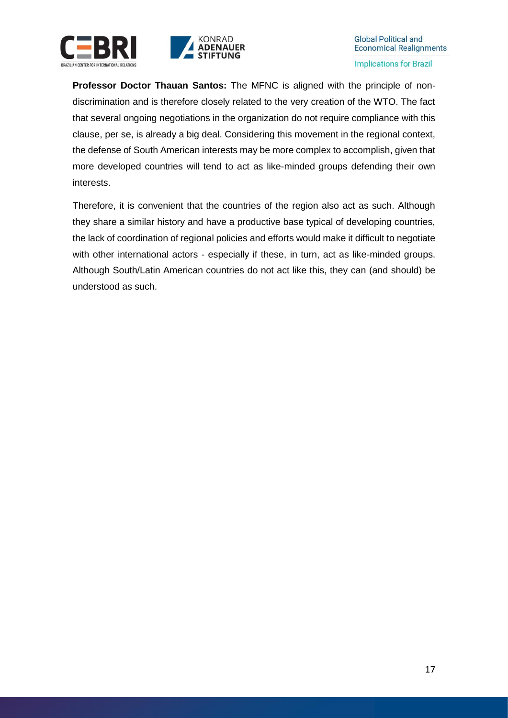



**Professor Doctor Thauan Santos:** The MFNC is aligned with the principle of nondiscrimination and is therefore closely related to the very creation of the WTO. The fact that several ongoing negotiations in the organization do not require compliance with this clause, per se, is already a big deal. Considering this movement in the regional context, the defense of South American interests may be more complex to accomplish, given that more developed countries will tend to act as like-minded groups defending their own interests.

Therefore, it is convenient that the countries of the region also act as such. Although they share a similar history and have a productive base typical of developing countries, the lack of coordination of regional policies and efforts would make it difficult to negotiate with other international actors - especially if these, in turn, act as like-minded groups. Although South/Latin American countries do not act like this, they can (and should) be understood as such.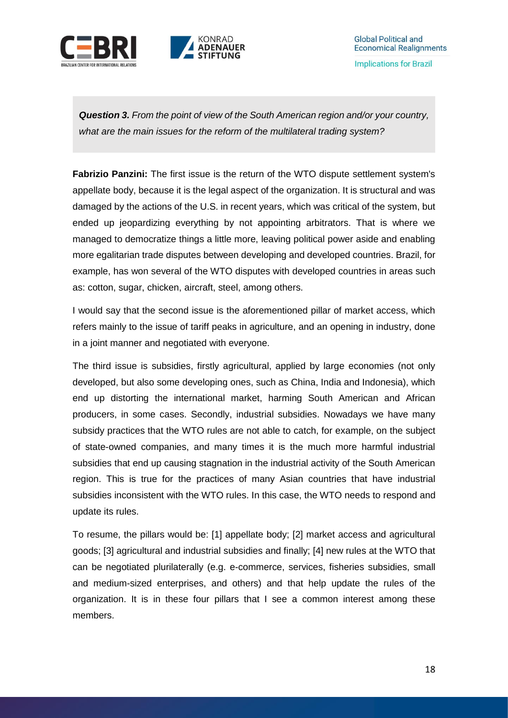

*Question 3. From the point of view of the South American region and/or your country, what are the main issues for the reform of the multilateral trading system?*

**Fabrizio Panzini:** The first issue is the return of the WTO dispute settlement system's appellate body, because it is the legal aspect of the organization. It is structural and was damaged by the actions of the U.S. in recent years, which was critical of the system, but ended up jeopardizing everything by not appointing arbitrators. That is where we managed to democratize things a little more, leaving political power aside and enabling more egalitarian trade disputes between developing and developed countries. Brazil, for example, has won several of the WTO disputes with developed countries in areas such as: cotton, sugar, chicken, aircraft, steel, among others.

I would say that the second issue is the aforementioned pillar of market access, which refers mainly to the issue of tariff peaks in agriculture, and an opening in industry, done in a joint manner and negotiated with everyone.

The third issue is subsidies, firstly agricultural, applied by large economies (not only developed, but also some developing ones, such as China, India and Indonesia), which end up distorting the international market, harming South American and African producers, in some cases. Secondly, industrial subsidies. Nowadays we have many subsidy practices that the WTO rules are not able to catch, for example, on the subject of state-owned companies, and many times it is the much more harmful industrial subsidies that end up causing stagnation in the industrial activity of the South American region. This is true for the practices of many Asian countries that have industrial subsidies inconsistent with the WTO rules. In this case, the WTO needs to respond and update its rules.

To resume, the pillars would be: [1] appellate body; [2] market access and agricultural goods; [3] agricultural and industrial subsidies and finally; [4] new rules at the WTO that can be negotiated plurilaterally (e.g. e-commerce, services, fisheries subsidies, small and medium-sized enterprises, and others) and that help update the rules of the organization. It is in these four pillars that I see a common interest among these members.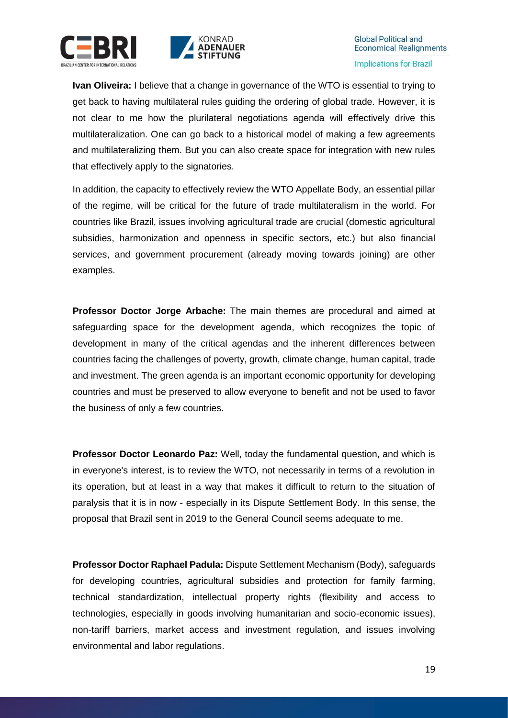



**Ivan Oliveira:** I believe that a change in governance of the WTO is essential to trying to get back to having multilateral rules guiding the ordering of global trade. However, it is not clear to me how the plurilateral negotiations agenda will effectively drive this multilateralization. One can go back to a historical model of making a few agreements and multilateralizing them. But you can also create space for integration with new rules that effectively apply to the signatories.

In addition, the capacity to effectively review the WTO Appellate Body, an essential pillar of the regime, will be critical for the future of trade multilateralism in the world. For countries like Brazil, issues involving agricultural trade are crucial (domestic agricultural subsidies, harmonization and openness in specific sectors, etc.) but also financial services, and government procurement (already moving towards joining) are other examples.

**Professor Doctor Jorge Arbache:** The main themes are procedural and aimed at safeguarding space for the development agenda, which recognizes the topic of development in many of the critical agendas and the inherent differences between countries facing the challenges of poverty, growth, climate change, human capital, trade and investment. The green agenda is an important economic opportunity for developing countries and must be preserved to allow everyone to benefit and not be used to favor the business of only a few countries.

**Professor Doctor Leonardo Paz:** Well, today the fundamental question, and which is in everyone's interest, is to review the WTO, not necessarily in terms of a revolution in its operation, but at least in a way that makes it difficult to return to the situation of paralysis that it is in now - especially in its Dispute Settlement Body. In this sense, the proposal that Brazil sent in 2019 to the General Council seems adequate to me.

**Professor Doctor Raphael Padula:** Dispute Settlement Mechanism (Body), safeguards for developing countries, agricultural subsidies and protection for family farming, technical standardization, intellectual property rights (flexibility and access to technologies, especially in goods involving humanitarian and socio-economic issues), non-tariff barriers, market access and investment regulation, and issues involving environmental and labor regulations.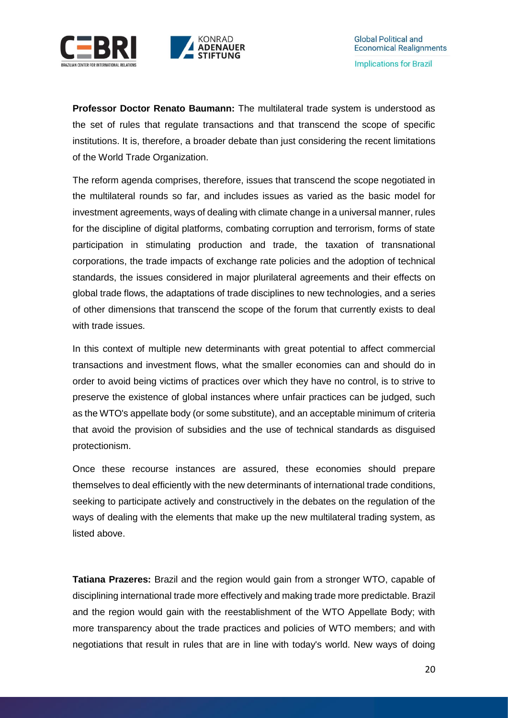



**Professor Doctor Renato Baumann:** The multilateral trade system is understood as the set of rules that regulate transactions and that transcend the scope of specific institutions. It is, therefore, a broader debate than just considering the recent limitations of the World Trade Organization.

The reform agenda comprises, therefore, issues that transcend the scope negotiated in the multilateral rounds so far, and includes issues as varied as the basic model for investment agreements, ways of dealing with climate change in a universal manner, rules for the discipline of digital platforms, combating corruption and terrorism, forms of state participation in stimulating production and trade, the taxation of transnational corporations, the trade impacts of exchange rate policies and the adoption of technical standards, the issues considered in major plurilateral agreements and their effects on global trade flows, the adaptations of trade disciplines to new technologies, and a series of other dimensions that transcend the scope of the forum that currently exists to deal with trade issues.

In this context of multiple new determinants with great potential to affect commercial transactions and investment flows, what the smaller economies can and should do in order to avoid being victims of practices over which they have no control, is to strive to preserve the existence of global instances where unfair practices can be judged, such as the WTO's appellate body (or some substitute), and an acceptable minimum of criteria that avoid the provision of subsidies and the use of technical standards as disguised protectionism.

Once these recourse instances are assured, these economies should prepare themselves to deal efficiently with the new determinants of international trade conditions, seeking to participate actively and constructively in the debates on the regulation of the ways of dealing with the elements that make up the new multilateral trading system, as listed above.

**Tatiana Prazeres:** Brazil and the region would gain from a stronger WTO, capable of disciplining international trade more effectively and making trade more predictable. Brazil and the region would gain with the reestablishment of the WTO Appellate Body; with more transparency about the trade practices and policies of WTO members; and with negotiations that result in rules that are in line with today's world. New ways of doing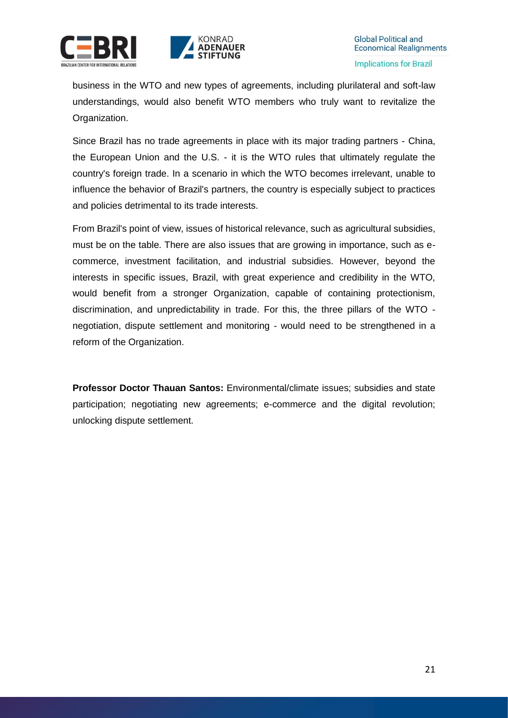



business in the WTO and new types of agreements, including plurilateral and soft-law understandings, would also benefit WTO members who truly want to revitalize the Organization.

Since Brazil has no trade agreements in place with its major trading partners - China, the European Union and the U.S. - it is the WTO rules that ultimately regulate the country's foreign trade. In a scenario in which the WTO becomes irrelevant, unable to influence the behavior of Brazil's partners, the country is especially subject to practices and policies detrimental to its trade interests.

From Brazil's point of view, issues of historical relevance, such as agricultural subsidies, must be on the table. There are also issues that are growing in importance, such as ecommerce, investment facilitation, and industrial subsidies. However, beyond the interests in specific issues, Brazil, with great experience and credibility in the WTO, would benefit from a stronger Organization, capable of containing protectionism, discrimination, and unpredictability in trade. For this, the three pillars of the WTO negotiation, dispute settlement and monitoring - would need to be strengthened in a reform of the Organization.

**Professor Doctor Thauan Santos:** Environmental/climate issues; subsidies and state participation; negotiating new agreements; e-commerce and the digital revolution; unlocking dispute settlement.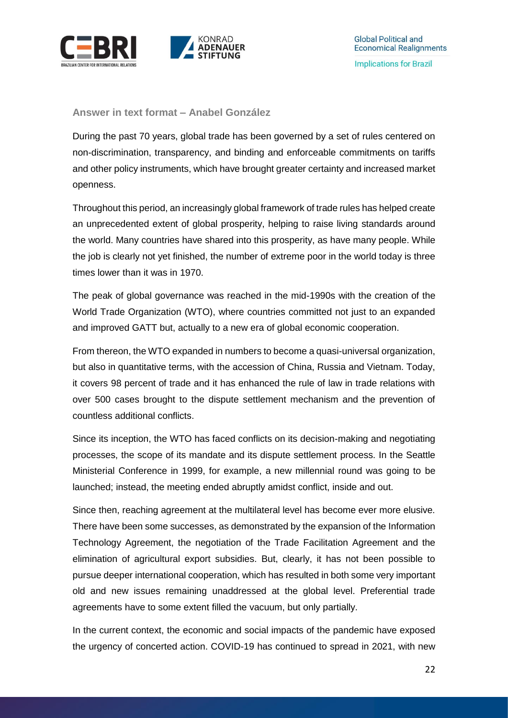

<span id="page-21-0"></span>**Answer in text format – Anabel González**

During the past 70 years, global trade has been governed by a set of rules centered on non-discrimination, transparency, and binding and enforceable commitments on tariffs and other policy instruments, which have brought greater certainty and increased market openness.

Throughout this period, an increasingly global framework of trade rules has helped create an unprecedented extent of global prosperity, helping to raise living standards around the world. Many countries have shared into this prosperity, as have many people. While the job is clearly not yet finished, the number of extreme poor in the world today is three times lower than it was in 1970.

The peak of global governance was reached in the mid-1990s with the creation of the World Trade Organization (WTO), where countries committed not just to an expanded and improved GATT but, actually to a new era of global economic cooperation.

From thereon, the WTO expanded in numbers to become a quasi-universal organization, but also in quantitative terms, with the accession of China, Russia and Vietnam. Today, it covers 98 percent of trade and it has enhanced the rule of law in trade relations with over 500 cases brought to the dispute settlement mechanism and the prevention of countless additional conflicts.

Since its inception, the WTO has faced conflicts on its decision-making and negotiating processes, the scope of its mandate and its dispute settlement process. In the Seattle Ministerial Conference in 1999, for example, a new millennial round was going to be launched; instead, the meeting ended abruptly amidst conflict, inside and out.

Since then, reaching agreement at the multilateral level has become ever more elusive. There have been some successes, as demonstrated by the expansion of the Information Technology Agreement, the negotiation of the Trade Facilitation Agreement and the elimination of agricultural export subsidies. But, clearly, it has not been possible to pursue deeper international cooperation, which has resulted in both some very important old and new issues remaining unaddressed at the global level. Preferential trade agreements have to some extent filled the vacuum, but only partially.

In the current context, the economic and social impacts of the pandemic have exposed the urgency of concerted action. COVID-19 has continued to spread in 2021, with new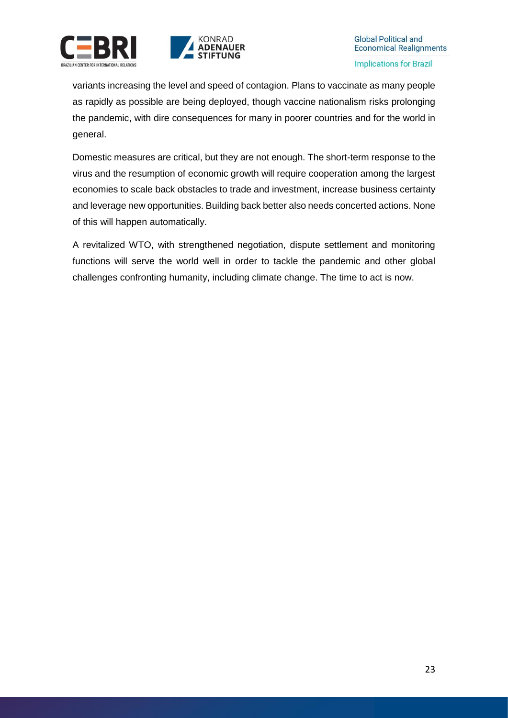



variants increasing the level and speed of contagion. Plans to vaccinate as many people as rapidly as possible are being deployed, though vaccine nationalism risks prolonging the pandemic, with dire consequences for many in poorer countries and for the world in general.

Domestic measures are critical, but they are not enough. The short-term response to the virus and the resumption of economic growth will require cooperation among the largest economies to scale back obstacles to trade and investment, increase business certainty and leverage new opportunities. Building back better also needs concerted actions. None of this will happen automatically.

A revitalized WTO, with strengthened negotiation, dispute settlement and monitoring functions will serve the world well in order to tackle the pandemic and other global challenges confronting humanity, including climate change. The time to act is now.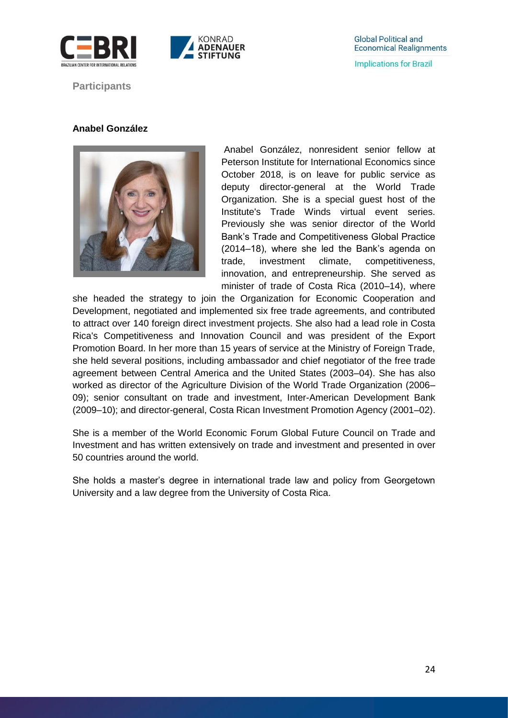



<span id="page-23-0"></span>**Participants**

### **Anabel González**



Anabel González, nonresident senior fellow at Peterson Institute for International Economics since October 2018, is on leave for public service as deputy director-general at the World Trade Organization. She is a special guest host of the Institute's Trade Winds virtual event series. Previously she was senior director of the World Bank's Trade and Competitiveness Global Practice (2014–18), where she led the Bank's agenda on trade, investment climate, competitiveness, innovation, and entrepreneurship. She served as minister of trade of Costa Rica (2010–14), where

she headed the strategy to join the Organization for Economic Cooperation and Development, negotiated and implemented six free trade agreements, and contributed to attract over 140 foreign direct investment projects. She also had a lead role in Costa Rica's Competitiveness and Innovation Council and was president of the Export Promotion Board. In her more than 15 years of service at the Ministry of Foreign Trade, she held several positions, including ambassador and chief negotiator of the free trade agreement between Central America and the United States (2003–04). She has also worked as director of the Agriculture Division of the World Trade Organization (2006– 09); senior consultant on trade and investment, Inter-American Development Bank (2009–10); and director-general, Costa Rican Investment Promotion Agency (2001–02).

She is a member of the World Economic Forum Global Future Council on Trade and Investment and has written extensively on trade and investment and presented in over 50 countries around the world.

She holds a master's degree in international trade law and policy from Georgetown University and a law degree from the University of Costa Rica.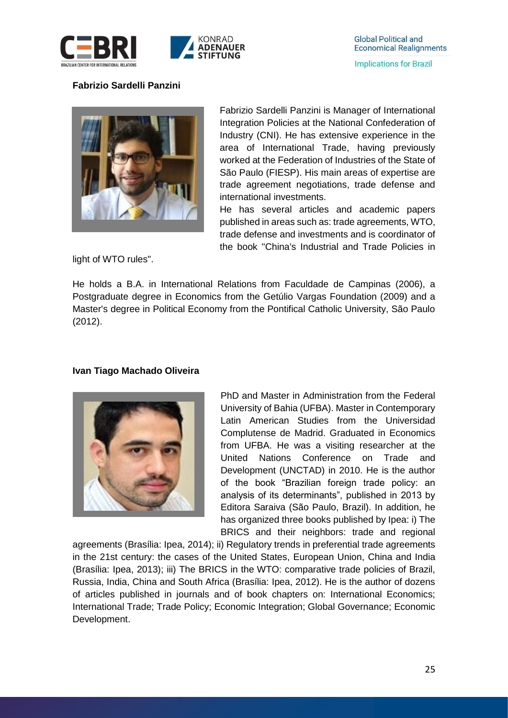

# **Fabrizio Sardelli Panzini**

**RAZILIAN CENTER FOR INTERNATIONAL RELATION** 



Fabrizio Sardelli Panzini is Manager of International Integration Policies at the National Confederation of Industry (CNI). He has extensive experience in the area of International Trade, having previously worked at the Federation of Industries of the State of São Paulo (FIESP). His main areas of expertise are trade agreement negotiations, trade defense and international investments.

He has several articles and academic papers published in areas such as: trade agreements, WTO, trade defense and investments and is coordinator of the book "China's Industrial and Trade Policies in

light of WTO rules".

He holds a B.A. in International Relations from Faculdade de Campinas (2006), a Postgraduate degree in Economics from the Getúlio Vargas Foundation (2009) and a Master's degree in Political Economy from the Pontifical Catholic University, São Paulo (2012).

### **Ivan Tiago Machado Oliveira**



PhD and Master in Administration from the Federal University of Bahia (UFBA). Master in Contemporary Latin American Studies from the Universidad Complutense de Madrid. Graduated in Economics from UFBA. He was a visiting researcher at the United Nations Conference on Trade and Development (UNCTAD) in 2010. He is the author of the book "Brazilian foreign trade policy: an analysis of its determinants", published in 2013 by Editora Saraiva (São Paulo, Brazil). In addition, he has organized three books published by Ipea: i) The BRICS and their neighbors: trade and regional

agreements (Brasília: Ipea, 2014); ii) Regulatory trends in preferential trade agreements in the 21st century: the cases of the United States, European Union, China and India (Brasília: Ipea, 2013); iii) The BRICS in the WTO: comparative trade policies of Brazil, Russia, India, China and South Africa (Brasília: Ipea, 2012). He is the author of dozens of articles published in journals and of book chapters on: International Economics; International Trade; Trade Policy; Economic Integration; Global Governance; Economic Development.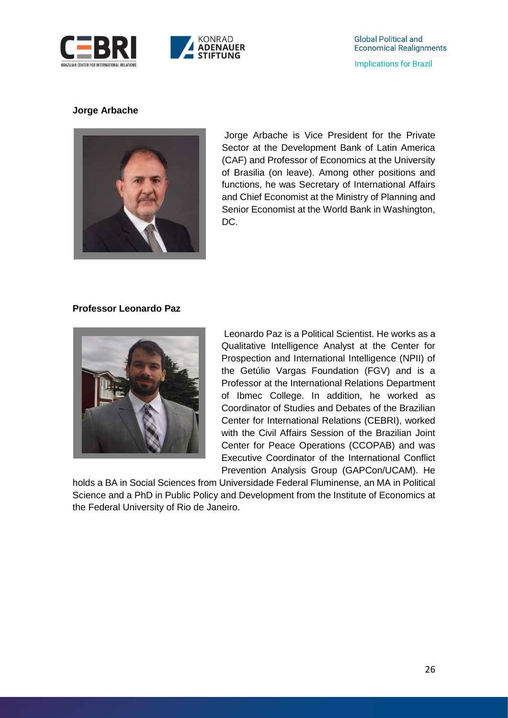



### **Jorge Arbache**



Jorge Arbache is Vice President for the Private Sector at the Development Bank of Latin America (CAF) and Professor of Economics at the University of Brasilia (on leave). Among other positions and functions, he was Secretary of International Affairs and Chief Economist at the Ministry of Planning and Senior Economist at the World Bank in Washington, DC.

### **Professor Leonardo Paz**



Leonardo Paz is a Political Scientist. He works as a Qualitative Intelligence Analyst at the Center for Prospection and International Intelligence (NPII) of the Getúlio Vargas Foundation (FGV) and is a Professor at the International Relations Department of Ibmec College. In addition, he worked as Coordinator of Studies and Debates of the Brazilian Center for International Relations (CEBRI), worked with the Civil Affairs Session of the Brazilian Joint Center for Peace Operations (CCOPAB) and was Executive Coordinator of the International Conflict Prevention Analysis Group (GAPCon/UCAM). He

holds a BA in Social Sciences from Universidade Federal Fluminense, an MA in Political Science and a PhD in Public Policy and Development from the Institute of Economics at the Federal University of Rio de Janeiro.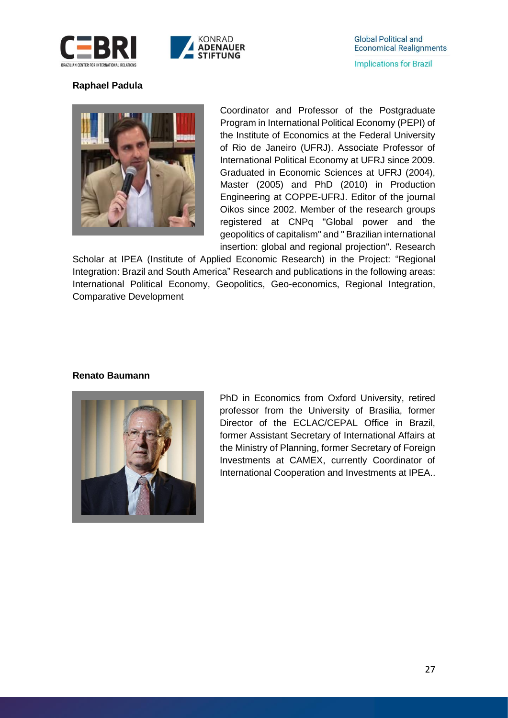



## **Raphael Padula**



Coordinator and Professor of the Postgraduate Program in International Political Economy (PEPI) of the Institute of Economics at the Federal University of Rio de Janeiro (UFRJ). Associate Professor of International Political Economy at UFRJ since 2009. Graduated in Economic Sciences at UFRJ (2004), Master (2005) and PhD (2010) in Production Engineering at COPPE-UFRJ. Editor of the journal Oikos since 2002. Member of the research groups registered at CNPq "Global power and the geopolitics of capitalism" and " Brazilian international insertion: global and regional projection". Research

Scholar at IPEA (Institute of Applied Economic Research) in the Project: "Regional Integration: Brazil and South America" Research and publications in the following areas: International Political Economy, Geopolitics, Geo-economics, Regional Integration, Comparative Development

### **Renato Baumann**



PhD in Economics from Oxford University, retired professor from the University of Brasilia, former Director of the ECLAC/CEPAL Office in Brazil, former Assistant Secretary of International Affairs at the Ministry of Planning, former Secretary of Foreign Investments at CAMEX, currently Coordinator of International Cooperation and Investments at IPEA..